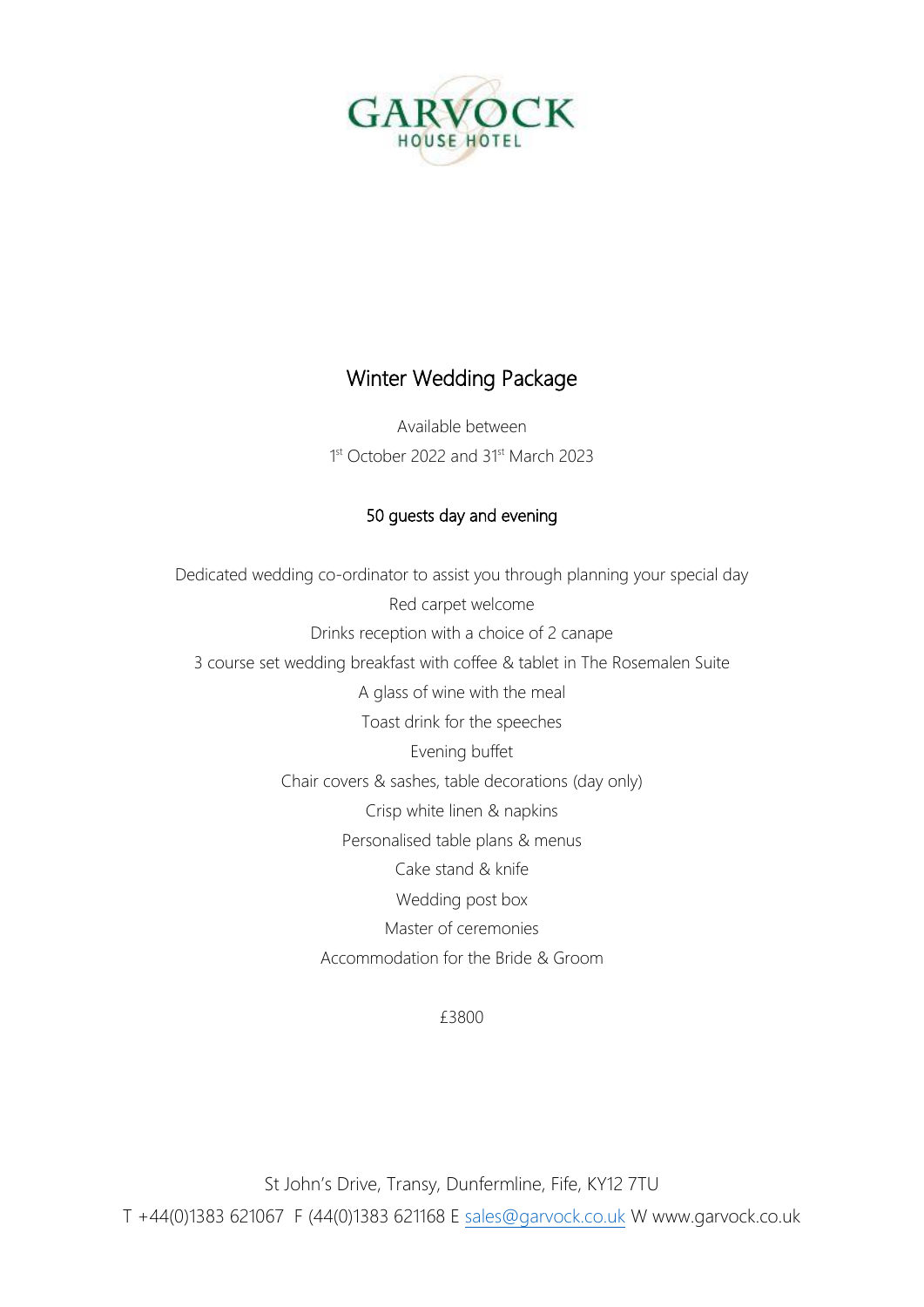

# Winter Wedding Package

Available between 1st October 2022 and 31st March 2023

## 50 guests day and evening

Dedicated wedding co-ordinator to assist you through planning your special day Red carpet welcome Drinks reception with a choice of 2 canape 3 course set wedding breakfast with coffee & tablet in The Rosemalen Suite A glass of wine with the meal Toast drink for the speeches Evening buffet Chair covers & sashes, table decorations (day only) Crisp white linen & napkins Personalised table plans & menus Cake stand & knife Wedding post box Master of ceremonies Accommodation for the Bride & Groom

£3800

St John's Drive, Transy, Dunfermline, Fife, KY12 7TU T +44(0)1383 621067 F (44(0)1383 621168 E [sales@garvock.co.uk](mailto:sales@garvock.co.uk) W www.garvock.co.uk